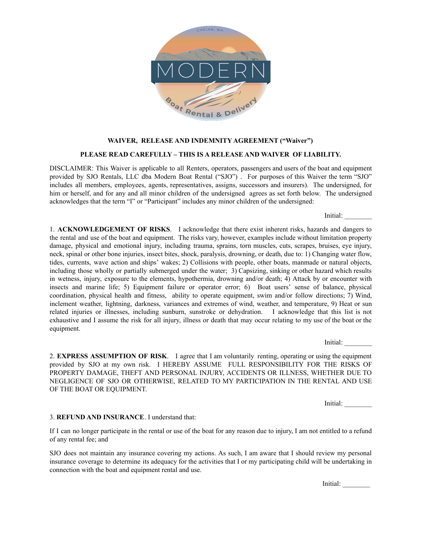

## **WAIVER, RELEASE AND INDEMNITY AGREEMENT ("Waiver")**

## **PLEASE READ CAREFULLY – THIS IS A RELEASE AND WAIVER OF LIABILITY.**

DISCLAIMER: This Waiver is applicable to all Renters, operators, passengers and users of the boat and equipment provided by SJO Rentals, LLC dba Modern Boat Rental ("SJO") . For purposes of this Waiver the term "SJO" includes all members, employees, agents, representatives, assigns, successors and insurers). The undersigned, for him or herself, and for any and all minor children of the undersigned agrees as set forth below. The undersigned acknowledges that the term "I" or "Participant" includes any minor children of the undersigned:

Initial:

1. **ACKNOWLEDGEMENT OF RISKS**. I acknowledge that there exist inherent risks, hazards and dangers to the rental and use of the boat and equipment. The risks vary, however, examples include without limitation property damage, physical and emotional injury, including trauma, sprains, torn muscles, cuts, scrapes, bruises, eye injury, neck, spinal or other bone injuries, insect bites, shock, paralysis, drowning, or death, due to: 1) Changing water flow, tides, currents, wave action and ships' wakes; 2) Collisions with people, other boats, manmade or natural objects, including those wholly or partially submerged under the water; 3) Capsizing, sinking or other hazard which results in wetness, injury, exposure to the elements, hypothermia, drowning and/or death; 4) Attack by or encounter with insects and marine life; 5) Equipment failure or operator error; 6) Boat users' sense of balance, physical coordination, physical health and fitness, ability to operate equipment, swim and/or follow directions; 7) Wind, inclement weather, lightning, darkness, variances and extremes of wind, weather, and temperature, 9) Heat or sun related injuries or illnesses, including sunburn, sunstroke or dehydration. I acknowledge that this list is not exhaustive and I assume the risk for all injury, illness or death that may occur relating to my use of the boat or the equipment.

Initial:

2. **EXPRESS ASSUMPTION OF RISK**. I agree that I am voluntarily renting, operating or using the equipment provided by SJO at my own risk. I HEREBY ASSUME FULL RESPONSIBILITY FOR THE RISKS OF PROPERTY DAMAGE, THEFT AND PERSONAL INJURY, ACCIDENTS OR ILLNESS, WHETHER DUE TO NEGLIGENCE OF SJO OR OTHERWISE, RELATED TO MY PARTICIPATION IN THE RENTAL AND USE OF THE BOAT OR EQUIPMENT.

Initial:

## 3. **REFUND AND INSURANCE**. I understand that:

If I can no longer participate in the rental or use of the boat for any reason due to injury, I am not entitled to a refund of any rental fee; and

SJO does not maintain any insurance covering my actions. As such, I am aware that I should review my personal insurance coverage to determine its adequacy for the activities that I or my participating child will be undertaking in connection with the boat and equipment rental and use.

Initial: